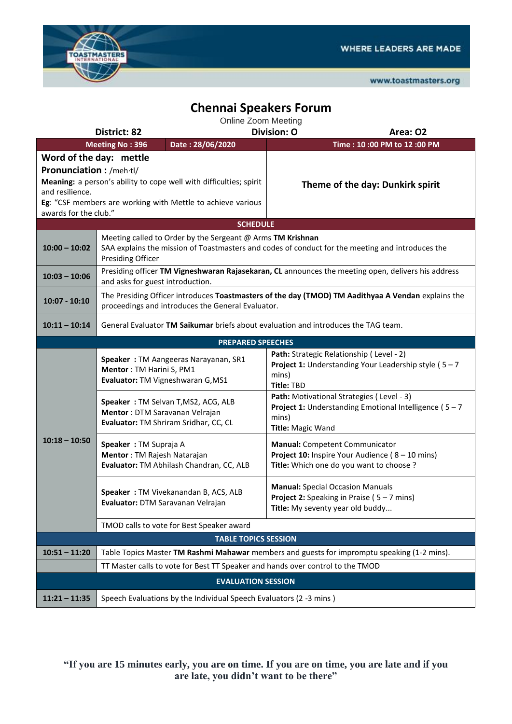

www.toastmasters.org

| <b>Online Zoom Meeting</b>                                                                                                                                                                                                          |                                                                                                                                                                                     |                                                                                                                                             |  |  |  |  |
|-------------------------------------------------------------------------------------------------------------------------------------------------------------------------------------------------------------------------------------|-------------------------------------------------------------------------------------------------------------------------------------------------------------------------------------|---------------------------------------------------------------------------------------------------------------------------------------------|--|--|--|--|
| District: 82                                                                                                                                                                                                                        |                                                                                                                                                                                     | <b>Division: O</b><br>Area: O2                                                                                                              |  |  |  |  |
|                                                                                                                                                                                                                                     | Date: 28/06/2020<br><b>Meeting No: 396</b>                                                                                                                                          | Time: 10:00 PM to 12:00 PM                                                                                                                  |  |  |  |  |
| Word of the day: mettle<br>Pronunciation: /meh·tl/<br>Meaning: a person's ability to cope well with difficulties; spirit<br>and resilience.<br>Eg: "CSF members are working with Mettle to achieve various<br>awards for the club." |                                                                                                                                                                                     | Theme of the day: Dunkirk spirit                                                                                                            |  |  |  |  |
|                                                                                                                                                                                                                                     |                                                                                                                                                                                     | <b>SCHEDULE</b>                                                                                                                             |  |  |  |  |
| $10:00 - 10:02$                                                                                                                                                                                                                     | Meeting called to Order by the Sergeant @ Arms TM Krishnan<br>SAA explains the mission of Toastmasters and codes of conduct for the meeting and introduces the<br>Presiding Officer |                                                                                                                                             |  |  |  |  |
| $10:03 - 10:06$                                                                                                                                                                                                                     | Presiding officer TM Vigneshwaran Rajasekaran, CL announces the meeting open, delivers his address<br>and asks for guest introduction.                                              |                                                                                                                                             |  |  |  |  |
| $10:07 - 10:10$                                                                                                                                                                                                                     | The Presiding Officer introduces Toastmasters of the day (TMOD) TM Aadithyaa A Vendan explains the<br>proceedings and introduces the General Evaluator.                             |                                                                                                                                             |  |  |  |  |
| $10:11 - 10:14$                                                                                                                                                                                                                     | General Evaluator TM Saikumar briefs about evaluation and introduces the TAG team.                                                                                                  |                                                                                                                                             |  |  |  |  |
|                                                                                                                                                                                                                                     |                                                                                                                                                                                     | <b>PREPARED SPEECHES</b>                                                                                                                    |  |  |  |  |
| $10:18 - 10:50$                                                                                                                                                                                                                     | Speaker: TM Aangeeras Narayanan, SR1<br>Mentor: TM Harini S, PM1<br>Evaluator: TM Vigneshwaran G, MS1                                                                               | Path: Strategic Relationship (Level - 2)<br><b>Project 1:</b> Understanding Your Leadership style ( $5 - 7$<br>mins)<br>Title: TBD          |  |  |  |  |
|                                                                                                                                                                                                                                     | Speaker: TM Selvan T, MS2, ACG, ALB<br>Mentor: DTM Saravanan Velrajan<br>Evaluator: TM Shriram Sridhar, CC, CL                                                                      | Path: Motivational Strategies (Level - 3)<br><b>Project 1:</b> Understanding Emotional Intelligence ( $5 - 7$<br>mins)<br>Title: Magic Wand |  |  |  |  |
|                                                                                                                                                                                                                                     | Speaker: TM Supraja A<br>Mentor: TM Rajesh Natarajan<br>Evaluator: TM Abhilash Chandran, CC, ALB                                                                                    | Manual: Competent Communicator<br><b>Project 10:</b> Inspire Your Audience ( $8 - 10$ mins)<br>Title: Which one do you want to choose ?     |  |  |  |  |
|                                                                                                                                                                                                                                     | Speaker: TM Vivekanandan B, ACS, ALB<br>Evaluator: DTM Saravanan Velrajan                                                                                                           | <b>Manual: Special Occasion Manuals</b><br><b>Project 2:</b> Speaking in Praise ( $5 - 7$ mins)<br>Title: My seventy year old buddy         |  |  |  |  |
|                                                                                                                                                                                                                                     | TMOD calls to vote for Best Speaker award                                                                                                                                           |                                                                                                                                             |  |  |  |  |
| <b>TABLE TOPICS SESSION</b>                                                                                                                                                                                                         |                                                                                                                                                                                     |                                                                                                                                             |  |  |  |  |
| $10:51 - 11:20$                                                                                                                                                                                                                     |                                                                                                                                                                                     | Table Topics Master TM Rashmi Mahawar members and guests for impromptu speaking (1-2 mins).                                                 |  |  |  |  |
| TT Master calls to vote for Best TT Speaker and hands over control to the TMOD                                                                                                                                                      |                                                                                                                                                                                     |                                                                                                                                             |  |  |  |  |
| <b>EVALUATION SESSION</b>                                                                                                                                                                                                           |                                                                                                                                                                                     |                                                                                                                                             |  |  |  |  |
| $11:21 - 11:35$                                                                                                                                                                                                                     | Speech Evaluations by the Individual Speech Evaluators (2 -3 mins)                                                                                                                  |                                                                                                                                             |  |  |  |  |

## **Chennai Speakers Forum**

**"If you are 15 minutes early, you are on time. If you are on time, you are late and if you are late, you didn't want to be there"**